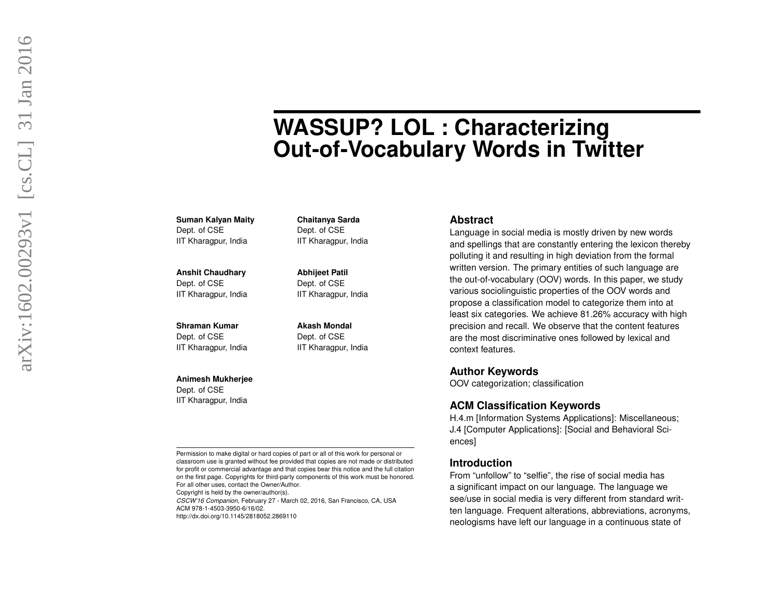# **WASSUP? LOL : Characterizing Out-of-Vocabulary Words in Twitter**

**Suman Kalyan Maity** Dept. of CSE IIT Kharagpur, India

**Anshit Chaudhary** Dept. of CSE IIT Kharagpur, India

**Shraman Kumar** Dept. of CSE IIT Kharagpur, India

#### **Animesh Mukherjee**

Dept. of CSE IIT Kharagpur, India

Permission to make digital or hard copies of part or all of this work for personal or classroom use is granted without fee provided that copies are not made or distributed for profit or commercial advantage and that copies bear this notice and the full citation on the first page. Copyrights for third-party components of this work must be honored. For all other uses, contact the Owner/Author.

**Chaitanya Sarda** Dept. of CSE IIT Kharagpur, India

**Abhijeet Patil** Dept. of CSE IIT Kharagpur, India

**Akash Mondal** Dept. of CSE IIT Kharagpur, India

Copyright is held by the owner/author(s).

*CSCW'16 Companion*, February 27 - March 02, 2016, San Francisco, CA, USA ACM 978-1-4503-3950-6/16/02.

http://dx.doi.org/10.1145/2818052.2869110

#### **Abstract**

Language in social media is mostly driven by new words and spellings that are constantly entering the lexicon thereby polluting it and resulting in high deviation from the formal written version. The primary entities of such language are the out-of-vocabulary (OOV) words. In this paper, we study various sociolinguistic properties of the OOV words and propose a classification model to categorize them into at least six categories. We achieve 81.26% accuracy with high precision and recall. We observe that the content features are the most discriminative ones followed by lexical and context features.

#### **Author Keywords**

OOV categorization; classification

# **ACM Classification Keywords**

H.4.m [Information Systems Applications]: Miscellaneous; J.4 [Computer Applications]: [Social and Behavioral Sciences]

#### **Introduction**

From "unfollow" to "selfie", the rise of social media has a significant impact on our language. The language we see/use in social media is very different from standard written language. Frequent alterations, abbreviations, acronyms, neologisms have left our language in a continuous state of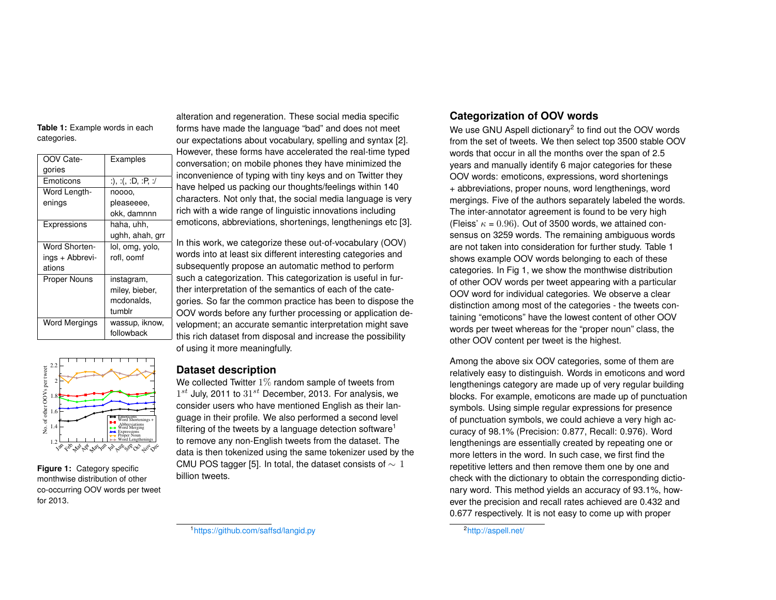<span id="page-1-2"></span>**Table 1:** Example words in each categories.

| OOV Cate-            | Examples           |        |
|----------------------|--------------------|--------|
| gories               |                    |        |
| Emoticons            | :), :(, :D, :P, :/ |        |
| Word Length-         | noooo.             |        |
| enings               | pleaseeee.         |        |
|                      | okk, damnnn        | ı      |
| Expressions          | haha, uhh,         | 6      |
|                      | ughh, ahah, grr    |        |
| <b>Word Shorten-</b> | lol, omg, yolo,    | I      |
| ings + Abbrevi-      | rofl. oomf         |        |
| ations               |                    | š      |
| <b>Proper Nouns</b>  | instagram,         | š      |
|                      | miley, bieber,     | i      |
|                      | mcdonalds.         |        |
|                      | tumblr             | ؟<br>٥ |
| Word Mergings        | wassup, iknow,     |        |
|                      | followback         |        |
|                      |                    |        |

alteration and regeneration. These social media specific forms have made the language "bad" and does not meet our expectations about vocabulary, spelling and syntax [\[2\]](#page-3-0). However, these forms have accelerated the real-time typed conversation; on mobile phones they have minimized the inconvenience of typing with tiny keys and on Twitter they have helped us packing our thoughts/feelings within 140 characters. Not only that, the social media language is very rich with a wide range of linguistic innovations including emoticons, abbreviations, shortenings, lengthenings etc [\[3\]](#page-3-1).

In this work, we categorize these out-of-vocabulary (OOV) words into at least six different interesting categories and subsequently propose an automatic method to perform such a categorization. This categorization is useful in further interpretation of the semantics of each of the categories. So far the common practice has been to dispose the OOV words before any further processing or application development; an accurate semantic interpretation might save this rich dataset from disposal and increase the possibility of using it more meaningfully.



<span id="page-1-3"></span>**Figure 1:** Category specific monthwise distribution of other co-occurring OOV words per tweet for 2013.

## **Dataset description**

We collected Twitter 1% random sample of tweets from  $1^{st}$  July, 2011 to  $31^{st}$  December, 2013. For analysis, we consider users who have mentioned English as their language in their profile. We also performed a second level filtering of the tweets by a language detection software<sup>[1](#page-1-0)</sup> to remove any non-English tweets from the dataset. The data is then tokenized using the same tokenizer used by the CMU POS tagger [\[5\]](#page-3-2). In total, the dataset consists of  $\sim 1$ billion tweets.

# **Categorization of OOV words**

We use GNU Aspell dictionary<sup>[2](#page-1-1)</sup> to find out the OOV words from the set of tweets. We then select top 3500 stable OOV words that occur in all the months over the span of 2.5 years and manually identify 6 major categories for these OOV words: emoticons, expressions, word shortenings + abbreviations, proper nouns, word lengthenings, word mergings. Five of the authors separately labeled the words. The inter-annotator agreement is found to be very high (Fleiss'  $\kappa = 0.96$ ). Out of 3500 words, we attained consensus on 3259 words. The remaining ambiguous words are not taken into consideration for further study. Table [1](#page-1-2) shows example OOV words belonging to each of these categories. In Fig [1,](#page-1-3) we show the monthwise distribution of other OOV words per tweet appearing with a particular OOV word for individual categories. We observe a clear distinction among most of the categories - the tweets containing "emoticons" have the lowest content of other OOV words per tweet whereas for the "proper noun" class, the other OOV content per tweet is the highest.

Among the above six OOV categories, some of them are relatively easy to distinguish. Words in emoticons and word lengthenings category are made up of very regular building blocks. For example, emoticons are made up of punctuation symbols. Using simple regular expressions for presence of punctuation symbols, we could achieve a very high accuracy of 98.1% (Precision: 0.877, Recall: 0.976). Word lengthenings are essentially created by repeating one or more letters in the word. In such case, we first find the repetitive letters and then remove them one by one and check with the dictionary to obtain the corresponding dictionary word. This method yields an accuracy of 93.1%, however the precision and recall rates achieved are 0.432 and 0.677 respectively. It is not easy to come up with proper

<span id="page-1-1"></span>2<http://aspell.net/>

<span id="page-1-0"></span><sup>1</sup><https://github.com/saffsd/langid.py>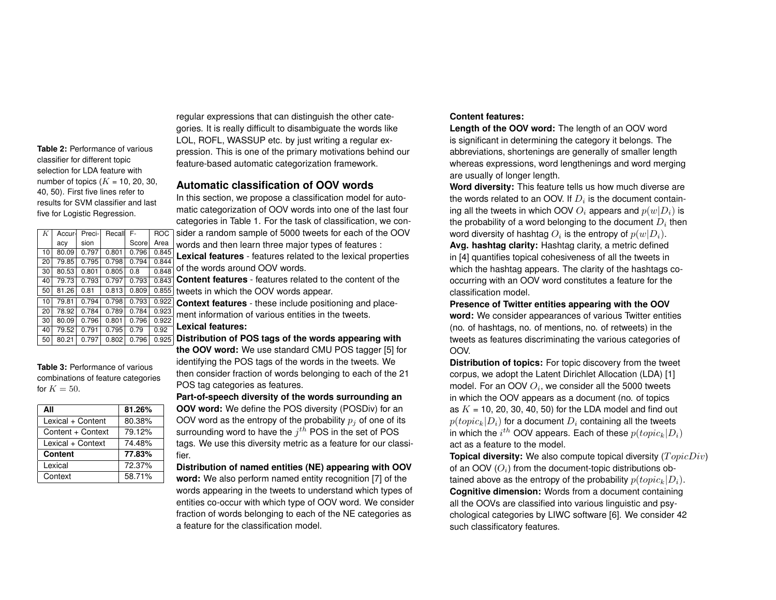<span id="page-2-0"></span>**Table 2:** Performance of various classifier for different topic selection for LDA feature with number of topics  $(K = 10, 20, 30,$ 40, 50). First five lines refer to results for SVM classifier and last five for Logistic Regression.

| K  | Accur- | Preci- | Recall | F-    | <b>ROC</b> |
|----|--------|--------|--------|-------|------------|
|    | acy    | sion   |        | Score | Area       |
| 10 | 80.09  | 0.797  | 0.801  | 0.796 | 0.845      |
| 20 | 79.85  | 0.795  | 0.798  | 0.794 | 0.844      |
| 30 | 80.53  | 0.801  | 0.805  | 0.8   | 0.848      |
| 40 | 79.73  | 0.793  | 0.797  | 0.793 | 0.843      |
| 50 | 81.26  | 0.81   | 0.813  | 0.809 | 0.855      |
| 10 | 79.81  | 0.794  | 0.798  | 0.793 | 0.922      |
| 20 | 78.92  | 0.784  | 0.789  | 0.784 | 0.923      |
| 30 | 80.09  | 0.796  | 0.801  | 0.796 | 0.922      |
| 40 | 79.52  | 0.791  | 0.795  | 0.79  | 0.92       |
| 50 | 80.21  | 0.797  | 0.802  | 0.796 | 0.925      |

<span id="page-2-1"></span>**Table 3:** Performance of various combinations of feature categories for  $K = 50$ .

| ΑIΙ               | 81.26% |
|-------------------|--------|
| Lexical + Content | 80.38% |
| Content + Context | 79.12% |
| Lexical + Context | 74.48% |
| <b>Content</b>    | 77.83% |
| Lexical           | 72.37% |
| Context           | 58.71% |

regular expressions that can distinguish the other categories. It is really difficult to disambiguate the words like LOL, ROFL, WASSUP etc. by just writing a regular expression. This is one of the primary motivations behind our feature-based automatic categorization framework.

# **Automatic classification of OOV words**

In this section, we propose a classification model for automatic categorization of OOV words into one of the last four categories in Table [1.](#page-1-2) For the task of classification, we consider a random sample of 5000 tweets for each of the OOV

words and then learn three major types of features : **Lexical features** - features related to the lexical properties of the words around OOV words.

**Content features** - features related to the content of the tweets in which the OOV words appear.

**Context features** - these include positioning and placement information of various entities in the tweets.

#### **Lexical features:**

**Distribution of POS tags of the words appearing with the OOV word:** We use standard CMU POS tagger [\[5\]](#page-3-2) for

identifying the POS tags of the words in the tweets. We then consider fraction of words belonging to each of the 21 POS tag categories as features.

# **Part-of-speech diversity of the words surrounding an**

**OOV word:** We define the POS diversity (POSDiv) for an OOV word as the entropy of the probability  $p_i$  of one of its surrounding word to have the  $j^{th}$  POS in the set of POS tags. We use this diversity metric as a feature for our classifier.

**Distribution of named entities (NE) appearing with OOV**

**word:** We also perform named entity recognition [\[7\]](#page-3-3) of the words appearing in the tweets to understand which types of entities co-occur with which type of OOV word. We consider fraction of words belonging to each of the NE categories as a feature for the classification model.

#### **Content features:**

**Length of the OOV word:** The length of an OOV word is significant in determining the category it belongs. The abbreviations, shortenings are generally of smaller length whereas expressions, word lengthenings and word merging are usually of longer length.

**Word diversity:** This feature tells us how much diverse are the words related to an OOV. If  $D_i$  is the document containing all the tweets in which OOV  $O_i$  appears and  $p(w|D_i)$  is the probability of a word belonging to the document  $D_i$  then word diversity of hashtag  $O_i$  is the entropy of  $p(w|D_i).$ **Avg. hashtag clarity:** Hashtag clarity, a metric defined in [\[4\]](#page-3-4) quantifies topical cohesiveness of all the tweets in

which the hashtag appears. The clarity of the hashtags cooccurring with an OOV word constitutes a feature for the classification model.

**Presence of Twitter entities appearing with the OOV word:** We consider appearances of various Twitter entities (no. of hashtags, no. of mentions, no. of retweets) in the tweets as features discriminating the various categories of OOV.

**Distribution of topics:** For topic discovery from the tweet corpus, we adopt the Latent Dirichlet Allocation (LDA) [\[1\]](#page-3-5) model. For an OOV  $O_i$ , we consider all the 5000 tweets in which the OOV appears as a document (no. of topics as  $K = 10$ , 20, 30, 40, 50) for the LDA model and find out  $p(topic_k|D_i)$  for a document  $D_i$  containing all the tweets in which the  $i^{th}$  OOV appears. Each of these  $p(topic_k|D_i)$ act as a feature to the model.

**Topical diversity:** We also compute topical diversity  $(TopicDiv)$ of an OOV  $(O_i)$  from the document-topic distributions obtained above as the entropy of the probability  $p(topic_k|D_i)$ . **Cognitive dimension:** Words from a document containing all the OOVs are classified into various linguistic and psychological categories by LIWC software [\[6\]](#page-3-6). We consider 42 such classificatory features.